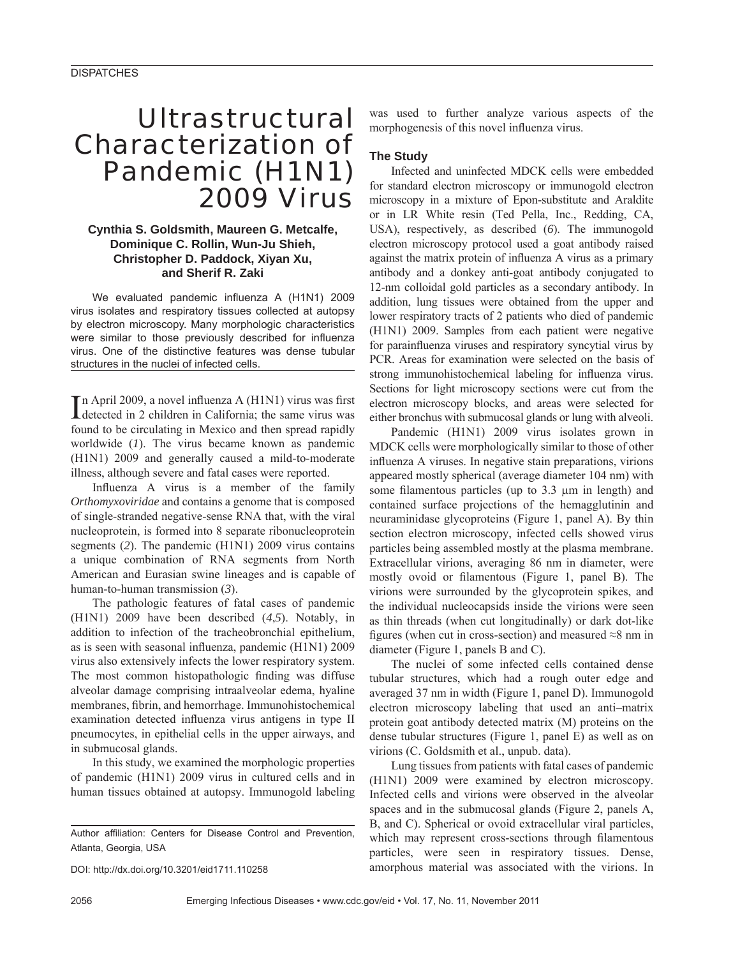# Ultrastructural Characterization of Pandemic (H1N1) 2009 Virus

## **Cynthia S. Goldsmith, Maureen G. Metcalfe, Dominique C. Rollin, Wun-Ju Shieh, Christopher D. Paddock, Xiyan Xu, and Sherif R. Zaki**

We evaluated pandemic influenza A (H1N1) 2009 virus isolates and respiratory tissues collected at autopsy by electron microscopy. Many morphologic characteristics were similar to those previously described for influenza virus. One of the distinctive features was dense tubular structures in the nuclei of infected cells.

In April 2009, a novel influenza A (H1N1) virus was first<br>detected in 2 children in California; the same virus was detected in 2 children in California; the same virus was found to be circulating in Mexico and then spread rapidly worldwide (*1*). The virus became known as pandemic (H1N1) 2009 and generally caused a mild-to-moderate illness, although severe and fatal cases were reported.

Influenza A virus is a member of the family *Orthomyxoviridae* and contains a genome that is composed of single-stranded negative-sense RNA that, with the viral nucleoprotein, is formed into 8 separate ribonucleoprotein segments (*2*). The pandemic (H1N1) 2009 virus contains a unique combination of RNA segments from North American and Eurasian swine lineages and is capable of human-to-human transmission (*3*).

The pathologic features of fatal cases of pandemic (H1N1) 2009 have been described (*4*,*5*). Notably, in addition to infection of the tracheobronchial epithelium, as is seen with seasonal influenza, pandemic  $(H1N1)$  2009 virus also extensively infects the lower respiratory system. The most common histopathologic finding was diffuse alveolar damage comprising intraalveolar edema, hyaline membranes, fibrin, and hemorrhage. Immunohistochemical examination detected influenza virus antigens in type II pneumocytes, in epithelial cells in the upper airways, and in submucosal glands.

In this study, we examined the morphologic properties of pandemic (H1N1) 2009 virus in cultured cells and in human tissues obtained at autopsy. Immunogold labeling

DOI: http://dx.doi.org/10.3201/eid1711.110258

was used to further analyze various aspects of the morphogenesis of this novel influenza virus.

## **The Study**

Infected and uninfected MDCK cells were embedded for standard electron microscopy or immunogold electron microscopy in a mixture of Epon-substitute and Araldite or in LR White resin (Ted Pella, Inc., Redding, CA, USA), respectively, as described (*6*). The immunogold electron microscopy protocol used a goat antibody raised against the matrix protein of influenza A virus as a primary antibody and a donkey anti-goat antibody conjugated to 12-nm colloidal gold particles as a secondary antibody. In addition, lung tissues were obtained from the upper and lower respiratory tracts of 2 patients who died of pandemic (H1N1) 2009. Samples from each patient were negative for parainfluenza viruses and respiratory syncytial virus by PCR. Areas for examination were selected on the basis of strong immunohistochemical labeling for influenza virus. Sections for light microscopy sections were cut from the electron microscopy blocks, and areas were selected for either bronchus with submucosal glands or lung with alveoli.

Pandemic (H1N1) 2009 virus isolates grown in MDCK cells were morphologically similar to those of other influenza A viruses. In negative stain preparations, virions appeared mostly spherical (average diameter 104 nm) with some filamentous particles (up to  $3.3 \mu m$  in length) and contained surface projections of the hemagglutinin and neuraminidase glycoproteins (Figure 1, panel A). By thin section electron microscopy, infected cells showed virus particles being assembled mostly at the plasma membrane. Extracellular virions, averaging 86 nm in diameter, were mostly ovoid or filamentous (Figure 1, panel B). The virions were surrounded by the glycoprotein spikes, and the individual nucleocapsids inside the virions were seen as thin threads (when cut longitudinally) or dark dot-like figures (when cut in cross-section) and measured  $\approx 8$  nm in diameter (Figure 1, panels B and C).

The nuclei of some infected cells contained dense tubular structures, which had a rough outer edge and averaged 37 nm in width (Figure 1, panel D). Immunogold electron microscopy labeling that used an anti–matrix protein goat antibody detected matrix (M) proteins on the dense tubular structures (Figure 1, panel E) as well as on virions (C. Goldsmith et al., unpub. data).

Lung tissues from patients with fatal cases of pandemic (H1N1) 2009 were examined by electron microscopy. Infected cells and virions were observed in the alveolar spaces and in the submucosal glands (Figure 2, panels A, B, and C). Spherical or ovoid extracellular viral particles, which may represent cross-sections through filamentous particles, were seen in respiratory tissues. Dense, amorphous material was associated with the virions. In

Author affiliation: Centers for Disease Control and Prevention, Atlanta, Georgia, USA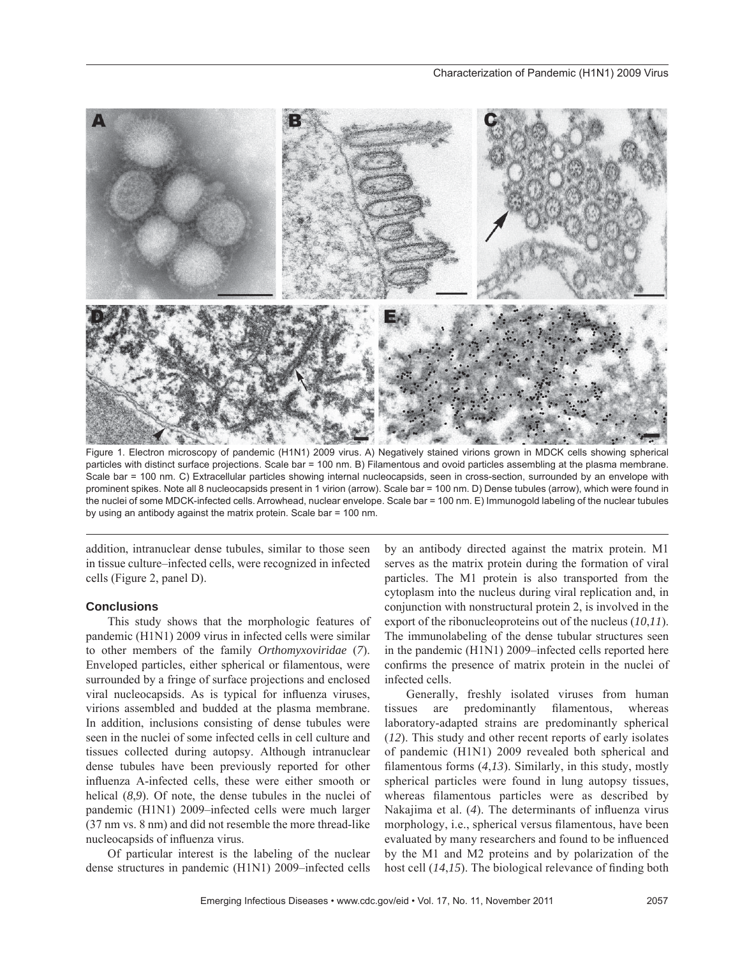

Figure 1. Electron microscopy of pandemic (H1N1) 2009 virus. A) Negatively stained virions grown in MDCK cells showing spherical particles with distinct surface projections. Scale bar = 100 nm. B) Filamentous and ovoid particles assembling at the plasma membrane. Scale bar = 100 nm. C) Extracellular particles showing internal nucleocapsids, seen in cross-section, surrounded by an envelope with prominent spikes. Note all 8 nucleocapsids present in 1 virion (arrow). Scale bar = 100 nm. D) Dense tubules (arrow), which were found in the nuclei of some MDCK-infected cells. Arrowhead, nuclear envelope. Scale bar = 100 nm. E) Immunogold labeling of the nuclear tubules by using an antibody against the matrix protein. Scale bar = 100 nm.

addition, intranuclear dense tubules, similar to those seen in tissue culture–infected cells, were recognized in infected cells (Figure 2, panel D).

### **Conclusions**

This study shows that the morphologic features of pandemic (H1N1) 2009 virus in infected cells were similar to other members of the family *Orthomyxoviridae* (*7*). Enveloped particles, either spherical or filamentous, were surrounded by a fringe of surface projections and enclosed viral nucleocapsids. As is typical for influenza viruses, virions assembled and budded at the plasma membrane. In addition, inclusions consisting of dense tubules were seen in the nuclei of some infected cells in cell culture and tissues collected during autopsy. Although intranuclear dense tubules have been previously reported for other influenza A-infected cells, these were either smooth or helical (*8,9*). Of note, the dense tubules in the nuclei of pandemic (H1N1) 2009–infected cells were much larger (37 nm vs. 8 nm) and did not resemble the more thread-like nucleocapsids of influenza virus.

Of particular interest is the labeling of the nuclear dense structures in pandemic (H1N1) 2009–infected cells by an antibody directed against the matrix protein. M1 serves as the matrix protein during the formation of viral particles. The M1 protein is also transported from the cytoplasm into the nucleus during viral replication and, in conjunction with nonstructural protein 2, is involved in the export of the ribonucleoproteins out of the nucleus (*10*,*11*). The immunolabeling of the dense tubular structures seen in the pandemic (H1N1) 2009–infected cells reported here confirms the presence of matrix protein in the nuclei of infected cells.

Generally, freshly isolated viruses from human tissues are predominantly filamentous, whereas laboratory-adapted strains are predominantly spherical (*12*). This study and other recent reports of early isolates of pandemic (H1N1) 2009 revealed both spherical and filamentous forms  $(4,13)$ . Similarly, in this study, mostly spherical particles were found in lung autopsy tissues, whereas filamentous particles were as described by Nakajima et al. (4). The determinants of influenza virus morphology, i.e., spherical versus filamentous, have been evaluated by many researchers and found to be influenced by the M1 and M2 proteins and by polarization of the host cell (14,15). The biological relevance of finding both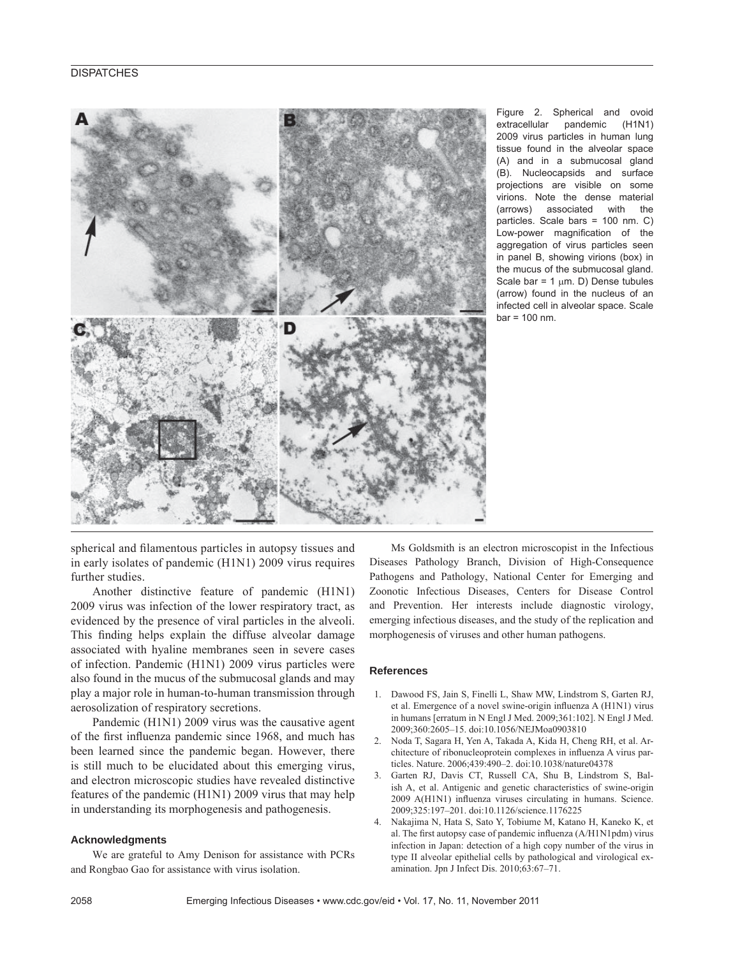

Figure 2. Spherical and ovoid extracellular pandemic (H1N1) 2009 virus particles in human lung tissue found in the alveolar space (A) and in a submucosal gland (B). Nucleocapsids and surface projections are visible on some virions. Note the dense material (arrows) associated with the particles. Scale bars = 100 nm. C) Low-power magnification of the aggregation of virus particles seen in panel B, showing virions (box) in the mucus of the submucosal gland. Scale bar =  $1 \mu m$ . D) Dense tubules (arrow) found in the nucleus of an infected cell in alveolar space. Scale  $bar = 100$  nm.

spherical and filamentous particles in autopsy tissues and in early isolates of pandemic (H1N1) 2009 virus requires further studies.

Another distinctive feature of pandemic (H1N1) 2009 virus was infection of the lower respiratory tract, as evidenced by the presence of viral particles in the alveoli. This finding helps explain the diffuse alveolar damage associated with hyaline membranes seen in severe cases of infection. Pandemic (H1N1) 2009 virus particles were also found in the mucus of the submucosal glands and may play a major role in human-to-human transmission through aerosolization of respiratory secretions.

Pandemic (H1N1) 2009 virus was the causative agent of the first influenza pandemic since 1968, and much has been learned since the pandemic began. However, there is still much to be elucidated about this emerging virus, and electron microscopic studies have revealed distinctive features of the pandemic (H1N1) 2009 virus that may help in understanding its morphogenesis and pathogenesis.

#### **Acknowledgments**

We are grateful to Amy Denison for assistance with PCRs and Rongbao Gao for assistance with virus isolation.

Ms Goldsmith is an electron microscopist in the Infectious Diseases Pathology Branch, Division of High-Consequence Pathogens and Pathology, National Center for Emerging and Zoonotic Infectious Diseases, Centers for Disease Control and Prevention. Her interests include diagnostic virology, emerging infectious diseases, and the study of the replication and morphogenesis of viruses and other human pathogens.

### **References**

- 1. Dawood FS, Jain S, Finelli L, Shaw MW, Lindstrom S, Garten RJ, et al. Emergence of a novel swine-origin influenza A (H1N1) virus in humans [erratum in N Engl J Med. 2009;361:102]. N Engl J Med. 2009;360:2605–15. doi:10.1056/NEJMoa0903810
- 2. Noda T, Sagara H, Yen A, Takada A, Kida H, Cheng RH, et al. Architecture of ribonucleoprotein complexes in influenza A virus particles. Nature. 2006;439:490–2. doi:10.1038/nature04378
- 3. Garten RJ, Davis CT, Russell CA, Shu B, Lindstrom S, Balish A, et al. Antigenic and genetic characteristics of swine-origin 2009 A(H1N1) influenza viruses circulating in humans. Science. 2009;325:197–201. doi:10.1126/science.1176225
- 4. Nakajima N, Hata S, Sato Y, Tobiume M, Katano H, Kaneko K, et al. The first autopsy case of pandemic influenza  $(A/H1N1pdm)$  virus infection in Japan: detection of a high copy number of the virus in type II alveolar epithelial cells by pathological and virological examination. Jpn J Infect Dis. 2010;63:67–71.